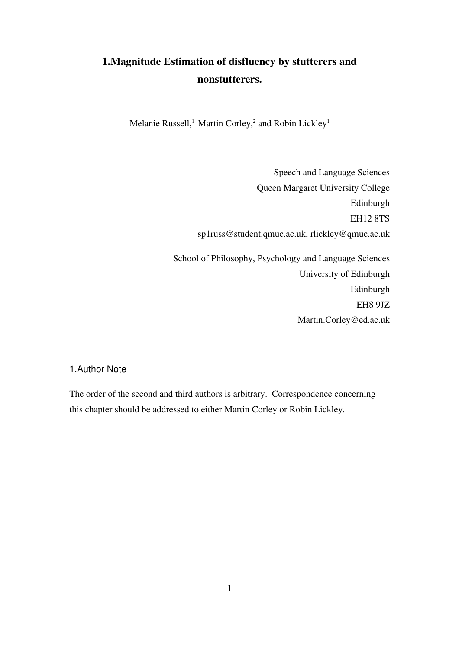# **1.Magnitude Estimation of disfluency by stutterers and nonstutterers.**

Melanie Russell,<sup>1</sup> Martin Corley,<sup>2</sup> and Robin Lickley<sup>1</sup>

 Speech and Language Sciences Queen Margaret University College Edinburgh EH12 8TS sp1russ@student.qmuc.ac.uk, rlickley@qmuc.ac.uk School of Philosophy, Psychology and Language Sciences University of Edinburgh Edinburgh EH8 9JZ Martin.Corley@ed.ac.uk

# 1.Author Note

The order of the second and third authors is arbitrary. Correspondence concerning this chapter should be addressed to either Martin Corley or Robin Lickley.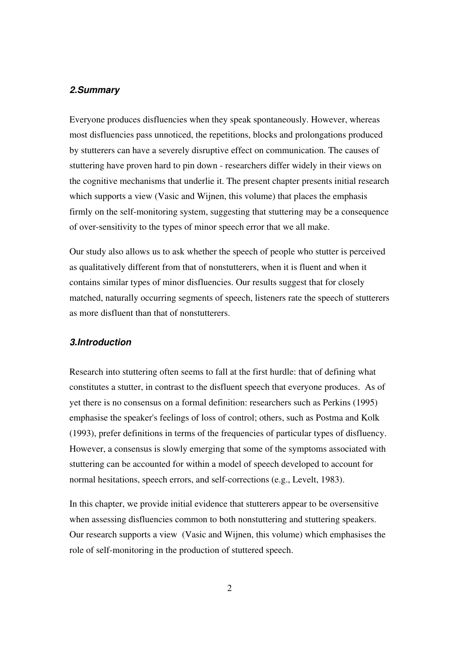## *2.Summary*

Everyone produces disfluencies when they speak spontaneously. However, whereas most disfluencies pass unnoticed, the repetitions, blocks and prolongations produced by stutterers can have a severely disruptive effect on communication. The causes of stuttering have proven hard to pin down - researchers differ widely in their views on the cognitive mechanisms that underlie it. The present chapter presents initial research which supports a view (Vasic and Wijnen, this volume) that places the emphasis firmly on the self-monitoring system, suggesting that stuttering may be a consequence of over-sensitivity to the types of minor speech error that we all make.

Our study also allows us to ask whether the speech of people who stutter is perceived as qualitatively different from that of nonstutterers, when it is fluent and when it contains similar types of minor disfluencies. Our results suggest that for closely matched, naturally occurring segments of speech, listeners rate the speech of stutterers as more disfluent than that of nonstutterers.

## *3.Introduction*

Research into stuttering often seems to fall at the first hurdle: that of defining what constitutes a stutter, in contrast to the disfluent speech that everyone produces. As of yet there is no consensus on a formal definition: researchers such as Perkins (1995) emphasise the speaker's feelings of loss of control; others, such as Postma and Kolk (1993), prefer definitions in terms of the frequencies of particular types of disfluency. However, a consensus is slowly emerging that some of the symptoms associated with stuttering can be accounted for within a model of speech developed to account for normal hesitations, speech errors, and self-corrections (e.g., Levelt, 1983).

In this chapter, we provide initial evidence that stutterers appear to be oversensitive when assessing disfluencies common to both nonstuttering and stuttering speakers. Our research supports a view (Vasic and Wijnen, this volume) which emphasises the role of self-monitoring in the production of stuttered speech.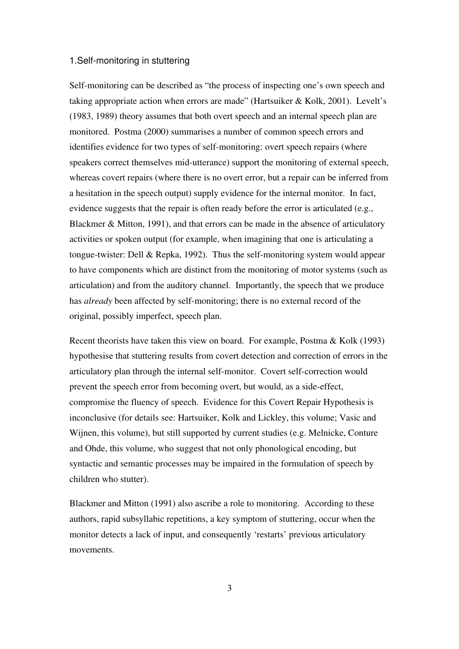#### 1.Self-monitoring in stuttering

Self-monitoring can be described as "the process of inspecting one's own speech and taking appropriate action when errors are made" (Hartsuiker & Kolk, 2001). Levelt's (1983, 1989) theory assumes that both overt speech and an internal speech plan are monitored. Postma (2000) summarises a number of common speech errors and identifies evidence for two types of self-monitoring: overt speech repairs (where speakers correct themselves mid-utterance) support the monitoring of external speech, whereas covert repairs (where there is no overt error, but a repair can be inferred from a hesitation in the speech output) supply evidence for the internal monitor. In fact, evidence suggests that the repair is often ready before the error is articulated (e.g., Blackmer & Mitton, 1991), and that errors can be made in the absence of articulatory activities or spoken output (for example, when imagining that one is articulating a tongue-twister: Dell & Repka, 1992). Thus the self-monitoring system would appear to have components which are distinct from the monitoring of motor systems (such as articulation) and from the auditory channel. Importantly, the speech that we produce has *already* been affected by self-monitoring; there is no external record of the original, possibly imperfect, speech plan.

Recent theorists have taken this view on board. For example, Postma & Kolk (1993) hypothesise that stuttering results from covert detection and correction of errors in the articulatory plan through the internal self-monitor. Covert self-correction would prevent the speech error from becoming overt, but would, as a side-effect, compromise the fluency of speech. Evidence for this Covert Repair Hypothesis is inconclusive (for details see: Hartsuiker, Kolk and Lickley, this volume; Vasic and Wijnen, this volume), but still supported by current studies (e.g. Melnicke, Conture and Ohde, this volume, who suggest that not only phonological encoding, but syntactic and semantic processes may be impaired in the formulation of speech by children who stutter).

Blackmer and Mitton (1991) also ascribe a role to monitoring. According to these authors, rapid subsyllabic repetitions, a key symptom of stuttering, occur when the monitor detects a lack of input, and consequently 'restarts' previous articulatory movements.

3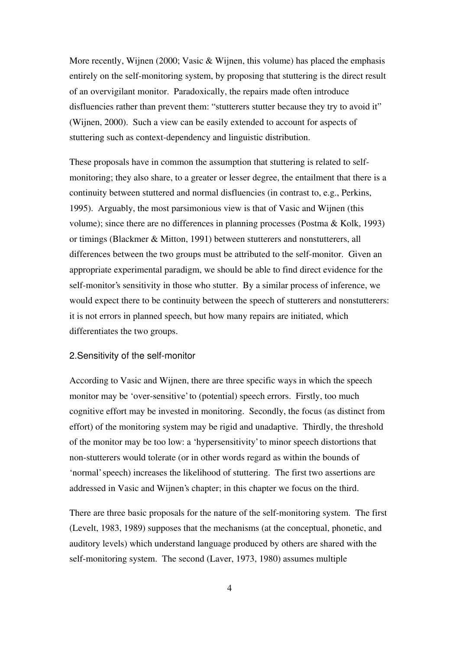More recently, Wijnen (2000; Vasic & Wijnen, this volume) has placed the emphasis entirely on the self-monitoring system, by proposing that stuttering is the direct result of an overvigilant monitor. Paradoxically, the repairs made often introduce disfluencies rather than prevent them: "stutterers stutter because they try to avoid it" (Wijnen, 2000). Such a view can be easily extended to account for aspects of stuttering such as context-dependency and linguistic distribution.

These proposals have in common the assumption that stuttering is related to selfmonitoring; they also share, to a greater or lesser degree, the entailment that there is a continuity between stuttered and normal disfluencies (in contrast to, e.g., Perkins, 1995). Arguably, the most parsimonious view is that of Vasic and Wijnen (this volume); since there are no differences in planning processes (Postma & Kolk, 1993) or timings (Blackmer & Mitton, 1991) between stutterers and nonstutterers, all differences between the two groups must be attributed to the self-monitor. Given an appropriate experimental paradigm, we should be able to find direct evidence for the self-monitor's sensitivity in those who stutter. By a similar process of inference, we would expect there to be continuity between the speech of stutterers and nonstutterers: it is not errors in planned speech, but how many repairs are initiated, which differentiates the two groups.

#### 2.Sensitivity of the self-monitor

According to Vasic and Wijnen, there are three specific ways in which the speech monitor may be 'over-sensitive' to (potential) speech errors. Firstly, too much cognitive effort may be invested in monitoring. Secondly, the focus (as distinct from effort) of the monitoring system may be rigid and unadaptive. Thirdly, the threshold of the monitor may be too low: a 'hypersensitivity' to minor speech distortions that non-stutterers would tolerate (or in other words regard as within the bounds of 'normal' speech) increases the likelihood of stuttering. The first two assertions are addressed in Vasic and Wijnen's chapter; in this chapter we focus on the third.

There are three basic proposals for the nature of the self-monitoring system. The first (Levelt, 1983, 1989) supposes that the mechanisms (at the conceptual, phonetic, and auditory levels) which understand language produced by others are shared with the self-monitoring system. The second (Laver, 1973, 1980) assumes multiple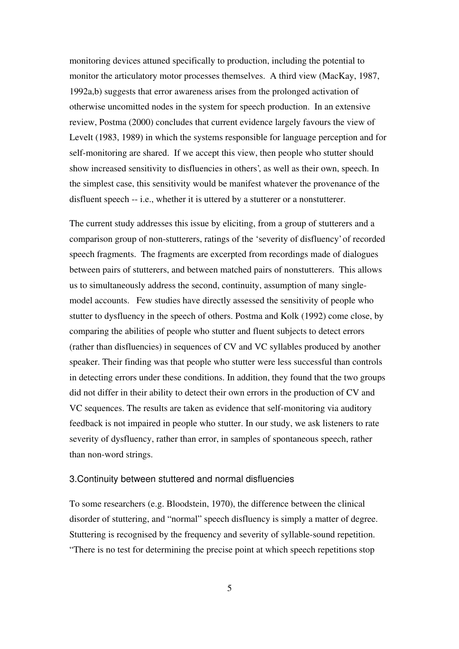monitoring devices attuned specifically to production, including the potential to monitor the articulatory motor processes themselves. A third view (MacKay, 1987, 1992a,b) suggests that error awareness arises from the prolonged activation of otherwise uncomitted nodes in the system for speech production. In an extensive review, Postma (2000) concludes that current evidence largely favours the view of Levelt (1983, 1989) in which the systems responsible for language perception and for self-monitoring are shared. If we accept this view, then people who stutter should show increased sensitivity to disfluencies in others', as well as their own, speech. In the simplest case, this sensitivity would be manifest whatever the provenance of the disfluent speech -- i.e., whether it is uttered by a stutterer or a nonstutterer.

The current study addresses this issue by eliciting, from a group of stutterers and a comparison group of non-stutterers, ratings of the 'severity of disfluency' of recorded speech fragments. The fragments are excerpted from recordings made of dialogues between pairs of stutterers, and between matched pairs of nonstutterers. This allows us to simultaneously address the second, continuity, assumption of many singlemodel accounts. Few studies have directly assessed the sensitivity of people who stutter to dysfluency in the speech of others. Postma and Kolk (1992) come close, by comparing the abilities of people who stutter and fluent subjects to detect errors (rather than disfluencies) in sequences of CV and VC syllables produced by another speaker. Their finding was that people who stutter were less successful than controls in detecting errors under these conditions. In addition, they found that the two groups did not differ in their ability to detect their own errors in the production of CV and VC sequences. The results are taken as evidence that self-monitoring via auditory feedback is not impaired in people who stutter. In our study, we ask listeners to rate severity of dysfluency, rather than error, in samples of spontaneous speech, rather than non-word strings.

#### 3.Continuity between stuttered and normal disfluencies

To some researchers (e.g. Bloodstein, 1970), the difference between the clinical disorder of stuttering, and "normal" speech disfluency is simply a matter of degree. Stuttering is recognised by the frequency and severity of syllable-sound repetition. "There is no test for determining the precise point at which speech repetitions stop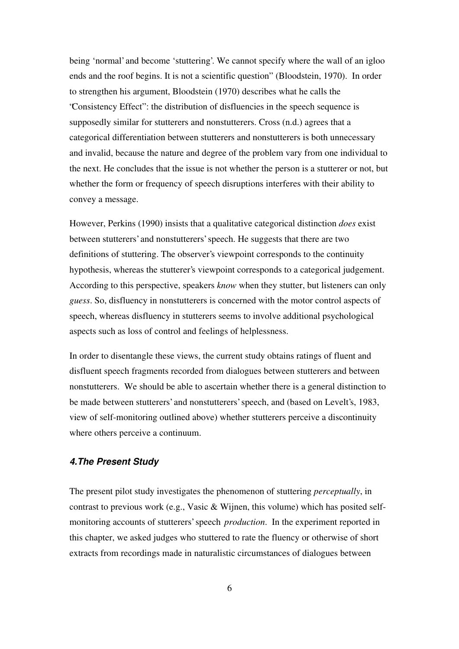being 'normal' and become 'stuttering'. We cannot specify where the wall of an igloo ends and the roof begins. It is not a scientific question" (Bloodstein, 1970). In order to strengthen his argument, Bloodstein (1970) describes what he calls the "Consistency Effect": the distribution of disfluencies in the speech sequence is supposedly similar for stutterers and nonstutterers. Cross (n.d.) agrees that a categorical differentiation between stutterers and nonstutterers is both unnecessary and invalid, because the nature and degree of the problem vary from one individual to the next. He concludes that the issue is not whether the person is a stutterer or not, but whether the form or frequency of speech disruptions interferes with their ability to convey a message.

However, Perkins (1990) insists that a qualitative categorical distinction *does* exist between stutterers' and nonstutterers' speech. He suggests that there are two definitions of stuttering. The observer's viewpoint corresponds to the continuity hypothesis, whereas the stutterer's viewpoint corresponds to a categorical judgement. According to this perspective, speakers *know* when they stutter, but listeners can only *guess*. So, disfluency in nonstutterers is concerned with the motor control aspects of speech, whereas disfluency in stutterers seems to involve additional psychological aspects such as loss of control and feelings of helplessness.

In order to disentangle these views, the current study obtains ratings of fluent and disfluent speech fragments recorded from dialogues between stutterers and between nonstutterers. We should be able to ascertain whether there is a general distinction to be made between stutterers' and nonstutterers' speech, and (based on Levelt's, 1983, view of self-monitoring outlined above) whether stutterers perceive a discontinuity where others perceive a continuum.

## *4.The Present Study*

The present pilot study investigates the phenomenon of stuttering *perceptually*, in contrast to previous work (e.g., Vasic & Wijnen, this volume) which has posited selfmonitoring accounts of stutterers' speech *production*. In the experiment reported in this chapter, we asked judges who stuttered to rate the fluency or otherwise of short extracts from recordings made in naturalistic circumstances of dialogues between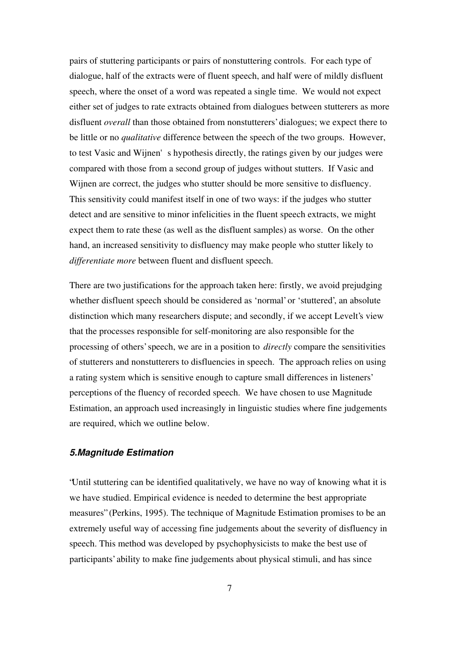pairs of stuttering participants or pairs of nonstuttering controls. For each type of dialogue, half of the extracts were of fluent speech, and half were of mildly disfluent speech, where the onset of a word was repeated a single time. We would not expect either set of judges to rate extracts obtained from dialogues between stutterers as more disfluent *overall* than those obtained from nonstutterers' dialogues; we expect there to be little or no *qualitative* difference between the speech of the two groups. However, to test Vasic and Wijnen's hypothesis directly, the ratings given by our judges were compared with those from a second group of judges without stutters. If Vasic and Wijnen are correct, the judges who stutter should be more sensitive to disfluency. This sensitivity could manifest itself in one of two ways: if the judges who stutter detect and are sensitive to minor infelicities in the fluent speech extracts, we might expect them to rate these (as well as the disfluent samples) as worse. On the other hand, an increased sensitivity to disfluency may make people who stutter likely to *differentiate more* between fluent and disfluent speech.

There are two justifications for the approach taken here: firstly, we avoid prejudging whether disfluent speech should be considered as 'normal' or 'stuttered', an absolute distinction which many researchers dispute; and secondly, if we accept Levelt's view that the processes responsible for self-monitoring are also responsible for the processing of others' speech, we are in a position to *directly* compare the sensitivities of stutterers and nonstutterers to disfluencies in speech. The approach relies on using a rating system which is sensitive enough to capture small differences in listeners' perceptions of the fluency of recorded speech. We have chosen to use Magnitude Estimation, an approach used increasingly in linguistic studies where fine judgements are required, which we outline below.

#### *5.Magnitude Estimation*

"Until stuttering can be identified qualitatively, we have no way of knowing what it is we have studied. Empirical evidence is needed to determine the best appropriate measures" (Perkins, 1995). The technique of Magnitude Estimation promises to be an extremely useful way of accessing fine judgements about the severity of disfluency in speech. This method was developed by psychophysicists to make the best use of participants' ability to make fine judgements about physical stimuli, and has since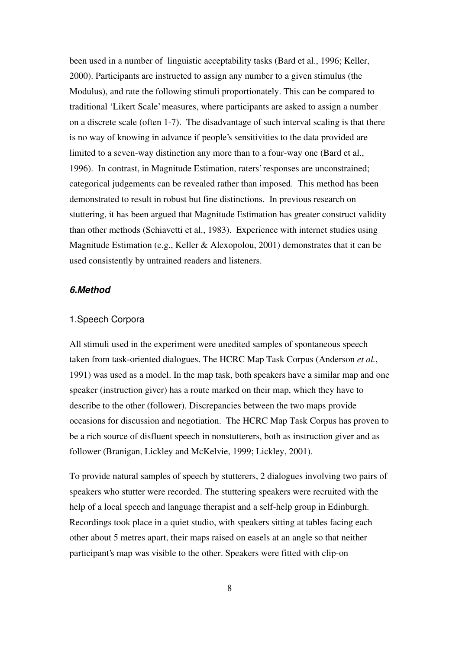been used in a number of linguistic acceptability tasks (Bard et al., 1996; Keller, 2000). Participants are instructed to assign any number to a given stimulus (the Modulus), and rate the following stimuli proportionately. This can be compared to traditional 'Likert Scale' measures, where participants are asked to assign a number on a discrete scale (often 1-7). The disadvantage of such interval scaling is that there is no way of knowing in advance if people's sensitivities to the data provided are limited to a seven-way distinction any more than to a four-way one (Bard et al., 1996). In contrast, in Magnitude Estimation, raters' responses are unconstrained; categorical judgements can be revealed rather than imposed. This method has been demonstrated to result in robust but fine distinctions. In previous research on stuttering, it has been argued that Magnitude Estimation has greater construct validity than other methods (Schiavetti et al., 1983). Experience with internet studies using Magnitude Estimation (e.g., Keller & Alexopolou, 2001) demonstrates that it can be used consistently by untrained readers and listeners.

#### *6.Method*

## 1.Speech Corpora

All stimuli used in the experiment were unedited samples of spontaneous speech taken from task-oriented dialogues. The HCRC Map Task Corpus (Anderson *et al.*, 1991) was used as a model. In the map task, both speakers have a similar map and one speaker (instruction giver) has a route marked on their map, which they have to describe to the other (follower). Discrepancies between the two maps provide occasions for discussion and negotiation. The HCRC Map Task Corpus has proven to be a rich source of disfluent speech in nonstutterers, both as instruction giver and as follower (Branigan, Lickley and McKelvie, 1999; Lickley, 2001).

To provide natural samples of speech by stutterers, 2 dialogues involving two pairs of speakers who stutter were recorded. The stuttering speakers were recruited with the help of a local speech and language therapist and a self-help group in Edinburgh. Recordings took place in a quiet studio, with speakers sitting at tables facing each other about 5 metres apart, their maps raised on easels at an angle so that neither participant's map was visible to the other. Speakers were fitted with clip-on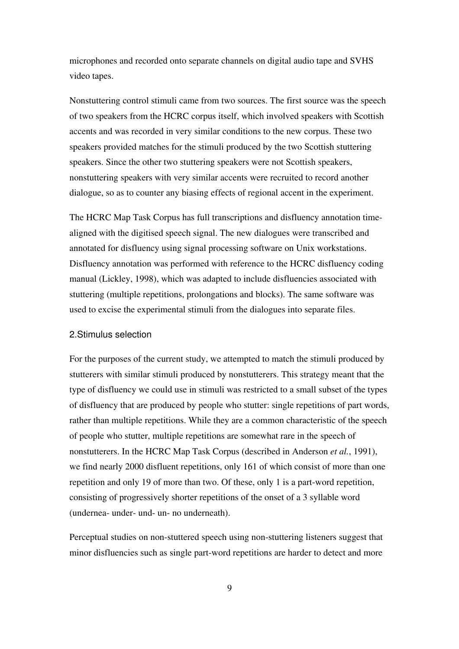microphones and recorded onto separate channels on digital audio tape and SVHS video tapes.

Nonstuttering control stimuli came from two sources. The first source was the speech of two speakers from the HCRC corpus itself, which involved speakers with Scottish accents and was recorded in very similar conditions to the new corpus. These two speakers provided matches for the stimuli produced by the two Scottish stuttering speakers. Since the other two stuttering speakers were not Scottish speakers, nonstuttering speakers with very similar accents were recruited to record another dialogue, so as to counter any biasing effects of regional accent in the experiment.

The HCRC Map Task Corpus has full transcriptions and disfluency annotation timealigned with the digitised speech signal. The new dialogues were transcribed and annotated for disfluency using signal processing software on Unix workstations. Disfluency annotation was performed with reference to the HCRC disfluency coding manual (Lickley, 1998), which was adapted to include disfluencies associated with stuttering (multiple repetitions, prolongations and blocks). The same software was used to excise the experimental stimuli from the dialogues into separate files.

#### 2.Stimulus selection

For the purposes of the current study, we attempted to match the stimuli produced by stutterers with similar stimuli produced by nonstutterers. This strategy meant that the type of disfluency we could use in stimuli was restricted to a small subset of the types of disfluency that are produced by people who stutter: single repetitions of part words, rather than multiple repetitions. While they are a common characteristic of the speech of people who stutter, multiple repetitions are somewhat rare in the speech of nonstutterers. In the HCRC Map Task Corpus (described in Anderson *et al.*, 1991), we find nearly 2000 disfluent repetitions, only 161 of which consist of more than one repetition and only 19 of more than two. Of these, only 1 is a part-word repetition, consisting of progressively shorter repetitions of the onset of a 3 syllable word (undernea- under- und- un- no underneath).

Perceptual studies on non-stuttered speech using non-stuttering listeners suggest that minor disfluencies such as single part-word repetitions are harder to detect and more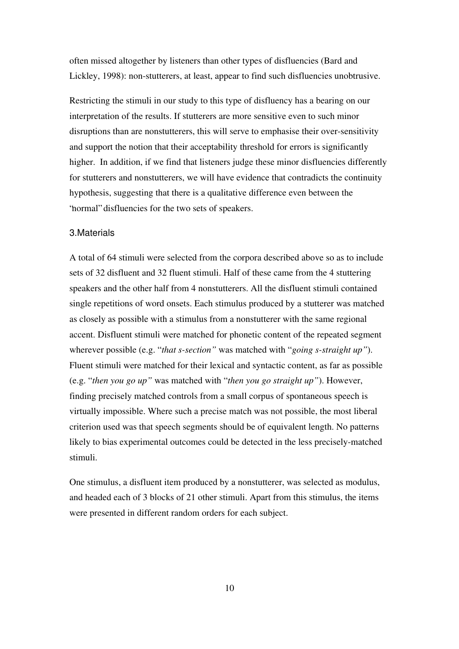often missed altogether by listeners than other types of disfluencies (Bard and Lickley, 1998): non-stutterers, at least, appear to find such disfluencies unobtrusive.

Restricting the stimuli in our study to this type of disfluency has a bearing on our interpretation of the results. If stutterers are more sensitive even to such minor disruptions than are nonstutterers, this will serve to emphasise their over-sensitivity and support the notion that their acceptability threshold for errors is significantly higher. In addition, if we find that listeners judge these minor disfluencies differently for stutterers and nonstutterers, we will have evidence that contradicts the continuity hypothesis, suggesting that there is a qualitative difference even between the "normal" disfluencies for the two sets of speakers.

## 3.Materials

A total of 64 stimuli were selected from the corpora described above so as to include sets of 32 disfluent and 32 fluent stimuli. Half of these came from the 4 stuttering speakers and the other half from 4 nonstutterers. All the disfluent stimuli contained single repetitions of word onsets. Each stimulus produced by a stutterer was matched as closely as possible with a stimulus from a nonstutterer with the same regional accent. Disfluent stimuli were matched for phonetic content of the repeated segment wherever possible (e.g. "*that s-section*" was matched with "*going s-straight up*"). Fluent stimuli were matched for their lexical and syntactic content, as far as possible (e.g. " *then you go up"* was matched with " *then you go straight up"*). However, finding precisely matched controls from a small corpus of spontaneous speech is virtually impossible. Where such a precise match was not possible, the most liberal criterion used was that speech segments should be of equivalent length. No patterns likely to bias experimental outcomes could be detected in the less precisely-matched stimuli.

One stimulus, a disfluent item produced by a nonstutterer, was selected as modulus, and headed each of 3 blocks of 21 other stimuli. Apart from this stimulus, the items were presented in different random orders for each subject.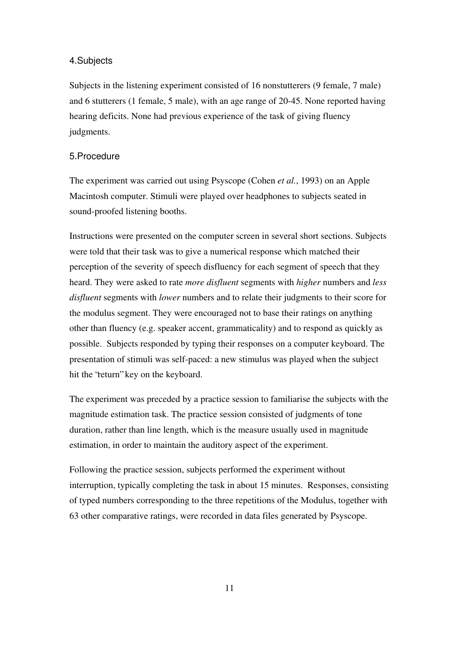#### 4.Subjects

Subjects in the listening experiment consisted of 16 nonstutterers (9 female, 7 male) and 6 stutterers (1 female, 5 male), with an age range of 20-45. None reported having hearing deficits. None had previous experience of the task of giving fluency judgments.

## 5.Procedure

The experiment was carried out using Psyscope (Cohen *et al.*, 1993) on an Apple Macintosh computer. Stimuli were played over headphones to subjects seated in sound-proofed listening booths.

Instructions were presented on the computer screen in several short sections. Subjects were told that their task was to give a numerical response which matched their perception of the severity of speech disfluency for each segment of speech that they heard. They were asked to rate *more disfluent* segments with *higher* numbers and *less disfluent* segments with *lower* numbers and to relate their judgments to their score for the modulus segment. They were encouraged not to base their ratings on anything other than fluency (e.g. speaker accent, grammaticality) and to respond as quickly as possible. Subjects responded by typing their responses on a computer keyboard. The presentation of stimuli was self-paced: a new stimulus was played when the subject hit the "return" key on the keyboard.

The experiment was preceded by a practice session to familiarise the subjects with the magnitude estimation task. The practice session consisted of judgments of tone duration, rather than line length, which is the measure usually used in magnitude estimation, in order to maintain the auditory aspect of the experiment.

Following the practice session, subjects performed the experiment without interruption, typically completing the task in about 15 minutes. Responses, consisting of typed numbers corresponding to the three repetitions of the Modulus, together with 63 other comparative ratings, were recorded in data files generated by Psyscope.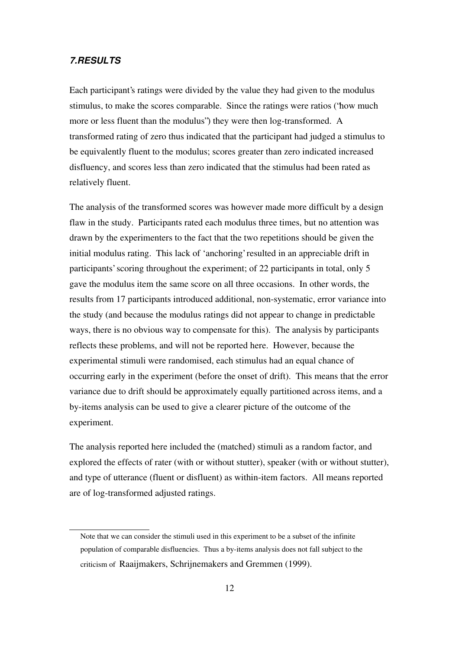## *7.RESULTS*

Each participant's ratings were divided by the value they had given to the modulus stimulus, to make the scores comparable. Since the ratings were ratios ("how much more or less fluent than the modulus") they were then log-transformed. A transformed rating of zero thus indicated that the participant had judged a stimulus to be equivalently fluent to the modulus; scores greater than zero indicated increased disfluency, and scores less than zero indicated that the stimulus had been rated as relatively fluent.

The analysis of the transformed scores was however made more difficult by a design flaw in the study. Participants rated each modulus three times, but no attention was drawn by the experimenters to the fact that the two repetitions should be given the initial modulus rating. This lack of 'anchoring' resulted in an appreciable drift in participants' scoring throughout the experiment; of 22 participants in total, only 5 gave the modulus item the same score on all three occasions. In other words, the results from 17 participants introduced additional, non-systematic, error variance into the study (and because the modulus ratings did not appear to change in predictable ways, there is no obvious way to compensate for this). The analysis by participants reflects these problems, and will not be reported here. However, because the experimental stimuli were randomised, each stimulus had an equal chance of occurring early in the experiment (before the onset of drift). This means that the error variance due to drift should be approximately equally partitioned across items, and a by-items analysis can be used to give a clearer picture of the outcome of the experiment.

The analysis reported here included the (matched) stimuli as a random factor, and explored the effects of rater (with or without stutter), speaker (with or without stutter), and type of utterance (fluent or disfluent) as within-item factors. All means reported are of log-transformed adjusted ratings.

Note that we can consider the stimuli used in this experiment to be a subset of the infinite population of comparable disfluencies. Thus a by-items analysis does not fall subject to the criticism of Raaijmakers, Schrijnemakers and Gremmen (1999).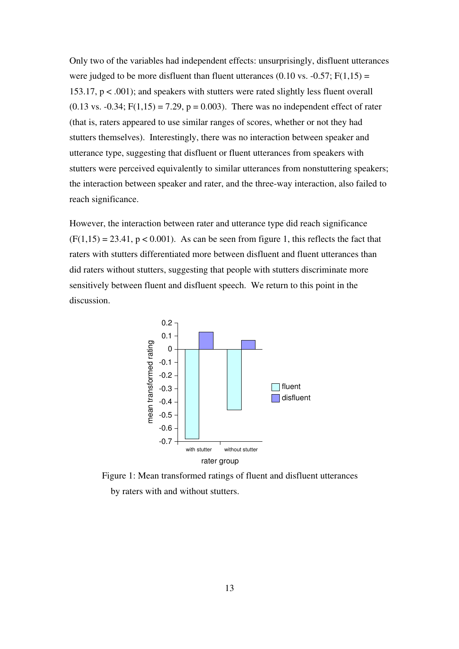Only two of the variables had independent effects: unsurprisingly, disfluent utterances were judged to be more disfluent than fluent utterances  $(0.10 \text{ vs. } -0.57; F(1,15)) =$ 153.17,  $p < .001$ ); and speakers with stutters were rated slightly less fluent overall  $(0.13 \text{ vs. } -0.34; F(1,15) = 7.29, p = 0.003)$ . There was no independent effect of rater (that is, raters appeared to use similar ranges of scores, whether or not they had stutters themselves). Interestingly, there was no interaction between speaker and utterance type, suggesting that disfluent or fluent utterances from speakers with stutters were perceived equivalently to similar utterances from nonstuttering speakers; the interaction between speaker and rater, and the three-way interaction, also failed to reach significance.

However, the interaction between rater and utterance type did reach significance  $(F(1,15) = 23.41, p < 0.001)$ . As can be seen from figure 1, this reflects the fact that raters with stutters differentiated more between disfluent and fluent utterances than did raters without stutters, suggesting that people with stutters discriminate more sensitively between fluent and disfluent speech. We return to this point in the discussion.



Figure 1: Mean transformed ratings of fluent and disfluent utterances by raters with and without stutters.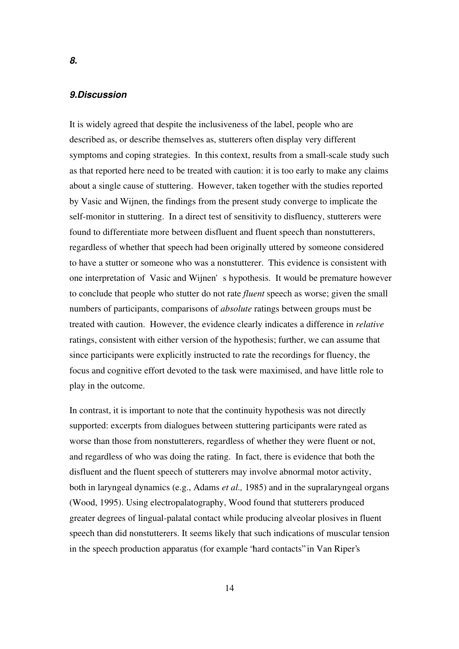## *9.Discussion*

*8.*

It is widely agreed that despite the inclusiveness of the label, people who are described as, or describe themselves as, stutterers often display very different symptoms and coping strategies. In this context, results from a small-scale study such as that reported here need to be treated with caution: it is too early to make any claims about a single cause of stuttering. However, taken together with the studies reported by Vasic and Wijnen, the findings from the present study converge to implicate the self-monitor in stuttering. In a direct test of sensitivity to disfluency, stutterers were found to differentiate more between disfluent and fluent speech than nonstutterers, regardless of whether that speech had been originally uttered by someone considered to have a stutter or someone who was a nonstutterer. This evidence is consistent with one interpretation of Vasic and Wijnen's hypothesis. It would be premature however to conclude that people who stutter do not rate *fluent* speech as worse; given the small numbers of participants, comparisons of *absolute* ratings between groups must be treated with caution. However, the evidence clearly indicates a difference in *relative* ratings, consistent with either version of the hypothesis; further, we can assume that since participants were explicitly instructed to rate the recordings for fluency, the focus and cognitive effort devoted to the task were maximised, and have little role to play in the outcome.

In contrast, it is important to note that the continuity hypothesis was not directly supported: excerpts from dialogues between stuttering participants were rated as worse than those from nonstutterers, regardless of whether they were fluent or not, and regardless of who was doing the rating. In fact, there is evidence that both the disfluent and the fluent speech of stutterers may involve abnormal motor activity, both in laryngeal dynamics (e.g., Adams *et al.,* 1985) and in the supralaryngeal organs (Wood, 1995). Using electropalatography, Wood found that stutterers produced greater degrees of lingual-palatal contact while producing alveolar plosives in fluent speech than did nonstutterers. It seems likely that such indications of muscular tension in the speech production apparatus (for example "hard contacts" in Van Riper's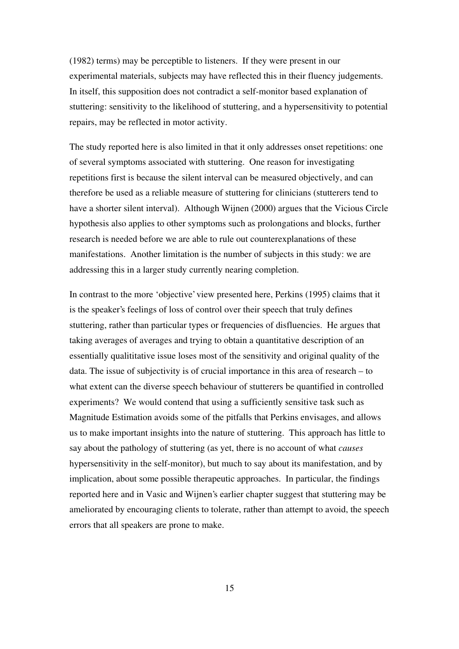(1982) terms) may be perceptible to listeners. If they were present in our experimental materials, subjects may have reflected this in their fluency judgements. In itself, this supposition does not contradict a self-monitor based explanation of stuttering: sensitivity to the likelihood of stuttering, and a hypersensitivity to potential repairs, may be reflected in motor activity.

The study reported here is also limited in that it only addresses onset repetitions: one of several symptoms associated with stuttering. One reason for investigating repetitions first is because the silent interval can be measured objectively, and can therefore be used as a reliable measure of stuttering for clinicians (stutterers tend to have a shorter silent interval). Although Wijnen (2000) argues that the Vicious Circle hypothesis also applies to other symptoms such as prolongations and blocks, further research is needed before we are able to rule out counterexplanations of these manifestations. Another limitation is the number of subjects in this study: we are addressing this in a larger study currently nearing completion.

In contrast to the more 'objective' view presented here, Perkins (1995) claims that it is the speaker's feelings of loss of control over their speech that truly defines stuttering, rather than particular types or frequencies of disfluencies. He argues that taking averages of averages and trying to obtain a quantitative description of an essentially qualititative issue loses most of the sensitivity and original quality of the data. The issue of subjectivity is of crucial importance in this area of research – to what extent can the diverse speech behaviour of stutterers be quantified in controlled experiments? We would contend that using a sufficiently sensitive task such as Magnitude Estimation avoids some of the pitfalls that Perkins envisages, and allows us to make important insights into the nature of stuttering. This approach has little to say about the pathology of stuttering (as yet, there is no account of what *causes* hypersensitivity in the self-monitor), but much to say about its manifestation, and by implication, about some possible therapeutic approaches. In particular, the findings reported here and in Vasic and Wijnen's earlier chapter suggest that stuttering may be ameliorated by encouraging clients to tolerate, rather than attempt to avoid, the speech errors that all speakers are prone to make.

15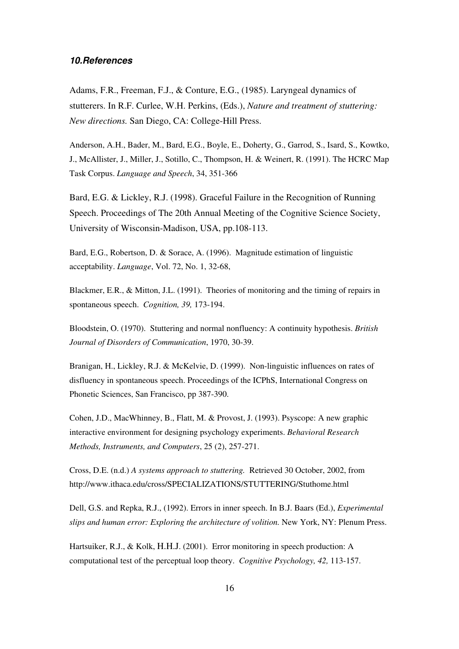#### *10.References*

Adams, F.R., Freeman, F.J., & Conture, E.G., (1985). Laryngeal dynamics of stutterers. In R.F. Curlee, W.H. Perkins, (Eds.), *Nature and treatment of stuttering: New directions.* San Diego, CA: College-Hill Press.

Anderson, A.H., Bader, M., Bard, E.G., Boyle, E., Doherty, G., Garrod, S., Isard, S., Kowtko, J., McAllister, J., Miller, J., Sotillo, C., Thompson, H. & Weinert, R. (1991). The HCRC Map Task Corpus. *Language and Speech*, 34, 351-366

Bard, E.G. & Lickley, R.J. (1998). Graceful Failure in the Recognition of Running Speech. Proceedings of The 20th Annual Meeting of the Cognitive Science Society, University of Wisconsin-Madison, USA, pp.108-113.

Bard, E.G., Robertson, D. & Sorace, A. (1996). Magnitude estimation of linguistic acceptability. *Language*, Vol. 72, No. 1, 32-68,

Blackmer, E.R., & Mitton, J.L. (1991). Theories of monitoring and the timing of repairs in spontaneous speech. *Cognition, 39,* 173-194.

Bloodstein, O. (1970). Stuttering and normal nonfluency: A continuity hypothesis. *British Journal of Disorders of Communication*, 1970, 30-39.

Branigan, H., Lickley, R.J. & McKelvie, D. (1999). Non-linguistic influences on rates of disfluency in spontaneous speech. Proceedings of the ICPhS, International Congress on Phonetic Sciences, San Francisco, pp 387-390.

Cohen, J.D., MacWhinney, B., Flatt, M. & Provost, J. (1993). Psyscope: A new graphic interactive environment for designing psychology experiments. *Behavioral Research Methods, Instruments, and Computers*, 25 (2), 257-271.

Cross, D.E. (n.d.) *A systems approach to stuttering.* Retrieved 30 October, 2002, from http://www.ithaca.edu/cross/SPECIALIZATIONS/STUTTERING/Stuthome.html

Dell, G.S. and Repka, R.J., (1992). Errors in inner speech. In B.J. Baars (Ed.), *Experimental slips and human error: Exploring the architecture of volition.* New York, NY: Plenum Press.

Hartsuiker, R.J., & Kolk, H.H.J. (2001). Error monitoring in speech production: A computational test of the perceptual loop theory. *Cognitive Psychology, 42,* 113-157.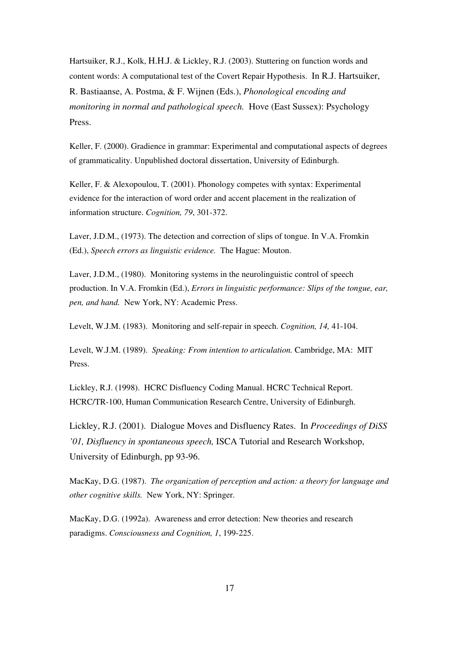Hartsuiker, R.J., Kolk, H.H.J. & Lickley, R.J. (2003). Stuttering on function words and content words: A computational test of the Covert Repair Hypothesis. In R.J. Hartsuiker, R. Bastiaanse, A. Postma, & F. Wijnen (Eds.), *Phonological encoding and monitoring in normal and pathological speech.* Hove (East Sussex): Psychology Press.

Keller, F. (2000). Gradience in grammar: Experimental and computational aspects of degrees of grammaticality. Unpublished doctoral dissertation, University of Edinburgh.

Keller, F. & Alexopoulou, T. (2001). Phonology competes with syntax: Experimental evidence for the interaction of word order and accent placement in the realization of information structure. *Cognition, 79*, 301-372.

Laver, J.D.M., (1973). The detection and correction of slips of tongue. In V.A. Fromkin (Ed.), *Speech errors as linguistic evidence.* The Hague: Mouton.

Laver, J.D.M., (1980). Monitoring systems in the neurolinguistic control of speech production. In V.A. Fromkin (Ed.), *Errors in linguistic performance: Slips of the tongue, ear, pen, and hand.* New York, NY: Academic Press.

Levelt, W.J.M. (1983). Monitoring and self-repair in speech. *Cognition, 14,* 41-104.

Levelt, W.J.M. (1989). *Speaking: From intention to articulation.* Cambridge, MA: MIT Press.

Lickley, R.J. (1998). HCRC Disfluency Coding Manual. HCRC Technical Report. HCRC/TR-100, Human Communication Research Centre, University of Edinburgh.

Lickley, R.J. (2001). Dialogue Moves and Disfluency Rates. In *Proceedings of DiSS '01, Disfluency in spontaneous speech,* ISCA Tutorial and Research Workshop, University of Edinburgh, pp 93-96.

MacKay, D.G. (1987). *The organization of perception and action: a theory for language and other cognitive skills.* New York, NY: Springer.

MacKay, D.G. (1992a). Awareness and error detection: New theories and research paradigms. *Consciousness and Cognition, 1*, 199-225.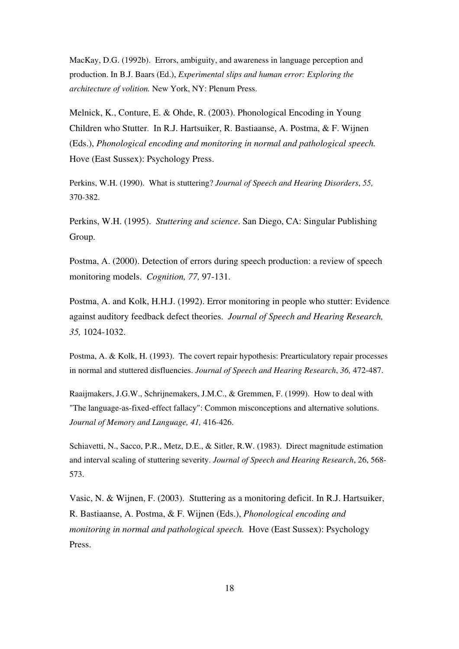MacKay, D.G. (1992b). Errors, ambiguity, and awareness in language perception and production. In B.J. Baars (Ed.), *Experimental slips and human error: Exploring the architecture of volition.* New York, NY: Plenum Press.

Melnick, K., Conture, E. & Ohde, R. (2003). Phonological Encoding in Young Children who Stutter. In R.J. Hartsuiker, R. Bastiaanse, A. Postma, & F. Wijnen (Eds.), *Phonological encoding and monitoring in normal and pathological speech.* Hove (East Sussex): Psychology Press.

Perkins, W.H. (1990). What is stuttering? *Journal of Speech and Hearing Disorders*, *55,* 370-382.

Perkins, W.H. (1995). *Stuttering and science*. San Diego, CA: Singular Publishing Group.

Postma, A. (2000). Detection of errors during speech production: a review of speech monitoring models. *Cognition, 77,* 97-131.

Postma, A. and Kolk, H.H.J. (1992). Error monitoring in people who stutter: Evidence against auditory feedback defect theories. *Journal of Speech and Hearing Research, 35,* 1024-1032.

Postma, A. & Kolk, H. (1993). The covert repair hypothesis: Prearticulatory repair processes in normal and stuttered disfluencies. *Journal of Speech and Hearing Research*, *36,* 472-487.

Raaijmakers, J.G.W., Schrijnemakers, J.M.C., & Gremmen, F. (1999). How to deal with "The language-as-fixed-effect fallacy": Common misconceptions and alternative solutions. *Journal of Memory and Language, 41,* 416-426.

Schiavetti, N., Sacco, P.R., Metz, D.E., & Sitler, R.W. (1983). Direct magnitude estimation and interval scaling of stuttering severity. *Journal of Speech and Hearing Research*, 26, 568- 573.

Vasic, N. & Wijnen, F. (2003). Stuttering as a monitoring deficit. In R.J. Hartsuiker, R. Bastiaanse, A. Postma, & F. Wijnen (Eds.), *Phonological encoding and monitoring in normal and pathological speech.* Hove (East Sussex): Psychology Press.